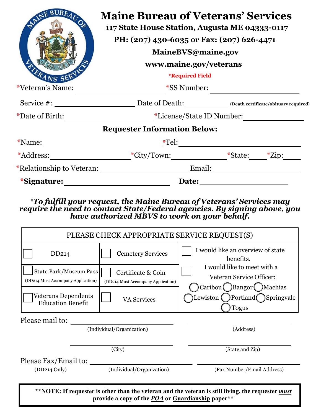| BUREAUC<br>ERANS' SE | <b>Maine Bureau of Veterans' Services</b><br>117 State House Station, Augusta ME 04333-0117<br>PH: (207) 430-6035 or Fax: (207) 626-4471<br>MaineBVS@maine.gov<br>www.maine.gov/veterans<br><i><b>*Required Field</b></i> |  |  |
|----------------------|---------------------------------------------------------------------------------------------------------------------------------------------------------------------------------------------------------------------------|--|--|
| *Veteran's Name:     | <i>*SS</i> Number:                                                                                                                                                                                                        |  |  |
|                      |                                                                                                                                                                                                                           |  |  |
|                      |                                                                                                                                                                                                                           |  |  |
|                      | <b>Requester Information Below:</b>                                                                                                                                                                                       |  |  |
| $*$ Name: $\_\_$     | $*$ Tel:                                                                                                                                                                                                                  |  |  |
|                      |                                                                                                                                                                                                                           |  |  |
|                      | *Relationship to Veteran: Email:                                                                                                                                                                                          |  |  |
| <i>*Signature:</i>   | Date:                                                                                                                                                                                                                     |  |  |

## *\*To fulfill your request, the Maine Bureau of Veterans' Services may require the need to contact State/Federal agencies. By signing above, you have authorized MBVS to work on your behalf.*

| PLEASE CHECK APPROPRIATE SERVICE REQUEST(S)                                                                                                                    |                                                          |                                                                                                                                                                                        |  |  |
|----------------------------------------------------------------------------------------------------------------------------------------------------------------|----------------------------------------------------------|----------------------------------------------------------------------------------------------------------------------------------------------------------------------------------------|--|--|
| DD <sub>214</sub>                                                                                                                                              | <b>Cemetery Services</b>                                 | I would like an overview of state<br>benefits.<br>I would like to meet with a<br>Veteran Service Officer:<br>Caribou Bangor Machias<br>Lewiston ( )Portland Springvale<br><b>Togus</b> |  |  |
| State Park/Museum Pass<br>(DD214 Must Accompany Application)                                                                                                   | Certificate & Coin<br>(DD214 Must Accompany Application) |                                                                                                                                                                                        |  |  |
| Veterans Dependents<br><b>Education Benefit</b>                                                                                                                | <b>VA Services</b>                                       |                                                                                                                                                                                        |  |  |
| Please mail to:                                                                                                                                                |                                                          |                                                                                                                                                                                        |  |  |
| (Individual/Organization)                                                                                                                                      |                                                          | (Address)                                                                                                                                                                              |  |  |
| (City)                                                                                                                                                         |                                                          | (State and Zip)                                                                                                                                                                        |  |  |
| Please Fax/Email to:                                                                                                                                           |                                                          |                                                                                                                                                                                        |  |  |
| $(DD214$ Only)                                                                                                                                                 | (Individual/Organization)                                | (Fax Number/Email Address)                                                                                                                                                             |  |  |
| **NOTE: If requester is other than the veteran and the veteran is still living, the requester <i>must</i><br>provide a copy of the POA or Guardianship paper** |                                                          |                                                                                                                                                                                        |  |  |